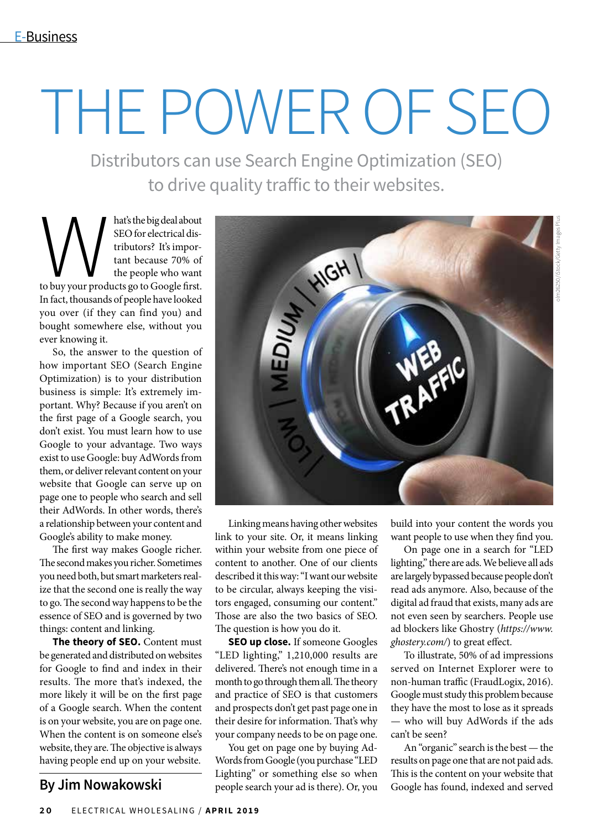# THE POWER OF SEO

Distributors can use Search Engine Optimization (SEO) to drive quality traffic to their websites.

Muscule of the big deal about<br>
SEO for electrical dis-<br>
tributors? It's impor-<br>
tant because 70% of<br>
the people who want<br>
to buy your products go to Google first. SEO for electrical distributors? It's important because 70% of the people who want In fact, thousands of people have looked you over (if they can find you) and bought somewhere else, without you ever knowing it.

So, the answer to the question of how important SEO (Search Engine Optimization) is to your distribution business is simple: It's extremely important. Why? Because if you aren't on the first page of a Google search, you don't exist. You must learn how to use Google to your advantage. Two ways exist to use Google: buy AdWords from them, or deliver relevant content on your website that Google can serve up on page one to people who search and sell their AdWords. In other words, there's a relationship between your content and Google's ability to make money.

The first way makes Google richer. The second makes you richer. Sometimes you need both, but smart marketers realize that the second one is really the way to go. The second way happens to be the essence of SEO and is governed by two things: content and linking.

**The theory of SEO.** Content must be generated and distributed on websites for Google to find and index in their results. The more that's indexed, the more likely it will be on the first page of a Google search. When the content is on your website, you are on page one. When the content is on someone else's website, they are. The objective is always having people end up on your website.



Linking means having other websites link to your site. Or, it means linking within your website from one piece of content to another. One of our clients described it this way: "I want our website to be circular, always keeping the visitors engaged, consuming our content." Those are also the two basics of SEO. The question is how you do it.

**SEO up close.** If someone Googles "LED lighting," 1,210,000 results are delivered. There's not enough time in a month to go through them all. The theory and practice of SEO is that customers and prospects don't get past page one in their desire for information. That's why your company needs to be on page one.

You get on page one by buying Ad-Words from Google (you purchase "LED Lighting" or something else so when By Jim Nowakowski people search your ad is there). Or, you Google has found, indexed and served

build into your content the words you want people to use when they find you.

On page one in a search for "LED lighting," there are ads. We believe all ads are largely bypassed because people don't read ads anymore. Also, because of the digital ad fraud that exists, many ads are not even seen by searchers. People use ad blockers like Ghostry (*https://www. ghostery.com/*) to great effect.

To illustrate, 50% of ad impressions served on Internet Explorer were to non-human traffic (FraudLogix, 2016). Google must study this problem because they have the most to lose as it spreads — who will buy AdWords if the ads can't be seen?

An "organic" search is the best — the results on page one that are not paid ads. This is the content on your website that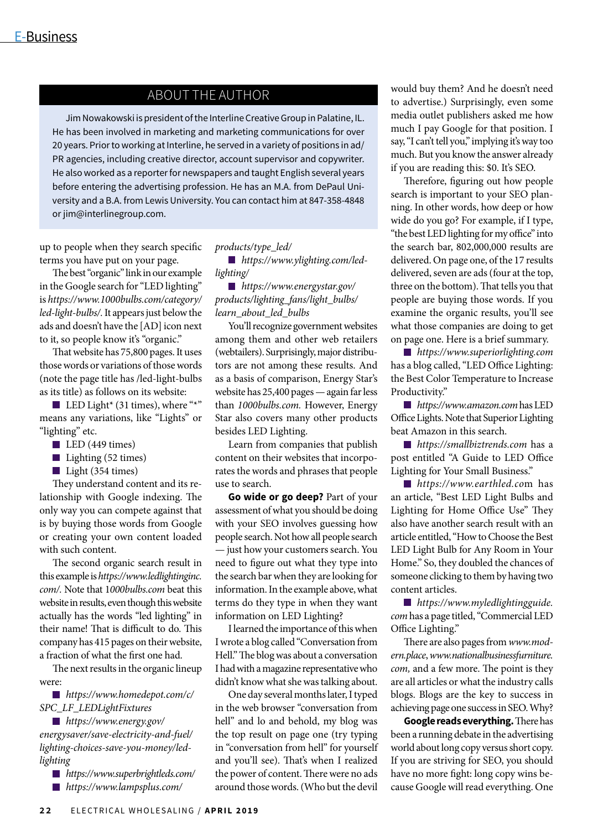### ABOUT THE AUTHOR

Jim Nowakowski is president of the Interline Creative Group in Palatine, IL. He has been involved in marketing and marketing communications for over 20 years. Prior to working at Interline, he served in a variety of positions in ad/ PR agencies, including creative director, account supervisor and copywriter. He also worked as a reporter for newspapers and taught English several years before entering the advertising profession. He has an M.A. from DePaul University and a B.A. from Lewis University. You can contact him at 847-358-4848 or jim@interlinegroup.com.

up to people when they search specific terms you have put on your page.

The best "organic" link in our example in the Google search for "LED lighting" is *https://www.1000bulbs.com/category/ led-light-bulbs/.* It appears just below the ads and doesn't have the [AD] icon next to it, so people know it's "organic."

That website has 75,800 pages. It uses those words or variations of those words (note the page title has /led-light-bulbs as its title) as follows on its website:

LED Light\* (31 times), where "\*" means any variations, like "Lights" or "lighting" etc.

 $\blacksquare$  LED (449 times)

 $\blacksquare$  Lighting (52 times)

 $\blacksquare$  Light (354 times)

They understand content and its relationship with Google indexing. The only way you can compete against that is by buying those words from Google or creating your own content loaded with such content.

The second organic search result in this example is *https://www.ledlightinginc. com/.* Note that 1*000bulbs.com* beat this website in results, even though this website actually has the words "led lighting" in their name! That is difficult to do. This company has 415 pages on their website, a fraction of what the first one had.

The next results in the organic lineup were:

*https://www.homedepot.com/c/ SPC\_LF\_LEDLightFixtures*

*https://www.energy.gov/ energysaver/save-electricity-and-fuel/ lighting-choices-save-you-money/ledlighting*

- *https://www.superbrightleds.com/*
- *https://www.lampsplus.com/*

#### *products/type\_led/*

*https://www.ylighting.com/ledlighting/*

*https://www.energystar.gov/ products/lighting\_fans/light\_bulbs/ learn\_about\_led\_bulbs*

You'll recognize government websites among them and other web retailers (webtailers). Surprisingly, major distributors are not among these results. And as a basis of comparison, Energy Star's website has 25,400 pages — again far less than *1000bulbs.com.* However, Energy Star also covers many other products besides LED Lighting.

Learn from companies that publish content on their websites that incorporates the words and phrases that people use to search.

**Go wide or go deep?** Part of your assessment of what you should be doing with your SEO involves guessing how people search. Not how all people search — just how your customers search. You need to figure out what they type into the search bar when they are looking for information. In the example above, what terms do they type in when they want information on LED Lighting?

I learned the importance of this when I wrote a blog called "Conversation from Hell." The blog was about a conversation I had with a magazine representative who didn't know what she was talking about.

One day several months later, I typed in the web browser "conversation from hell" and lo and behold, my blog was the top result on page one (try typing in "conversation from hell" for yourself and you'll see). That's when I realized the power of content. There were no ads around those words. (Who but the devil

would buy them? And he doesn't need to advertise.) Surprisingly, even some media outlet publishers asked me how much I pay Google for that position. I say, "I can't tell you," implying it's way too much. But you know the answer already if you are reading this: \$0. It's SEO.

Therefore, figuring out how people search is important to your SEO planning. In other words, how deep or how wide do you go? For example, if I type, "the best LED lighting for my office" into the search bar, 802,000,000 results are delivered. On page one, of the 17 results delivered, seven are ads (four at the top, three on the bottom). That tells you that people are buying those words. If you examine the organic results, you'll see what those companies are doing to get on page one. Here is a brief summary.

*https://www.superiorlighting.com*  has a blog called, "LED Office Lighting: the Best Color Temperature to Increase Productivity."

*https://www.amazon.com* has LED Office Lights. Note that Superior Lighting beat Amazon in this search.

*https://smallbiztrends.com* has a post entitled "A Guide to LED Office Lighting for Your Small Business."

*https://www.earthled.co*m has an article, "Best LED Light Bulbs and Lighting for Home Office Use" They also have another search result with an article entitled, "How to Choose the Best LED Light Bulb for Any Room in Your Home." So, they doubled the chances of someone clicking to them by having two content articles.

*https://www.myledlightingguide. com* has a page titled, "Commercial LED Office Lighting."

There are also pages from *www.modern.place*, *www.nationalbusinessfurniture. com,* and a few more. The point is they are all articles or what the industry calls blogs. Blogs are the key to success in achieving page one success in SEO. Why?

**Google reads everything.** There has been a running debate in the advertising world about long copy versus short copy. If you are striving for SEO, you should have no more fight: long copy wins because Google will read everything. One